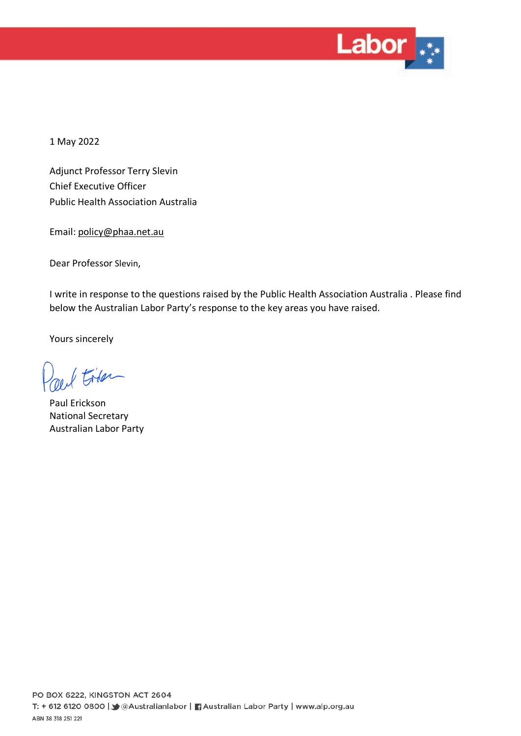

1 May 2022

Adjunct Professor Terry Slevin Chief Executive Officer Public Health Association Australia

Email: [policy@phaa.net.au](mailto:policy@phaa.net.au)

Dear Professor Slevin,

I write in response to the questions raised by the Public Health Association Australia . Please find below the Australian Labor Party's response to the key areas you have raised.

Yours sincerely

/ Filer

Paul Erickson National Secretary Australian Labor Party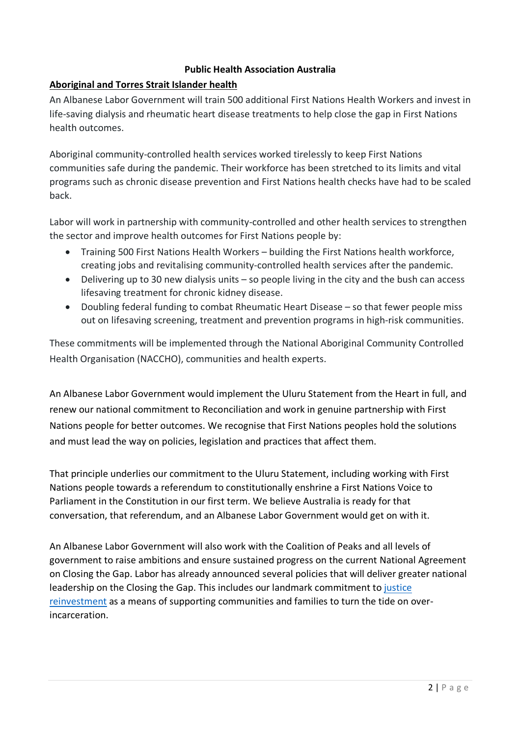## **Public Health Association Australia**

# **Aboriginal and Torres Strait Islander health**

An Albanese Labor Government will train 500 additional First Nations Health Workers and invest in life-saving dialysis and rheumatic heart disease treatments to help close the gap in First Nations health outcomes.

Aboriginal community-controlled health services worked tirelessly to keep First Nations communities safe during the pandemic. Their workforce has been stretched to its limits and vital programs such as chronic disease prevention and First Nations health checks have had to be scaled back.

Labor will work in partnership with community-controlled and other health services to strengthen the sector and improve health outcomes for First Nations people by:

- Training 500 First Nations Health Workers building the First Nations health workforce, creating jobs and revitalising community-controlled health services after the pandemic.
- Delivering up to 30 new dialysis units so people living in the city and the bush can access lifesaving treatment for chronic kidney disease.
- Doubling federal funding to combat Rheumatic Heart Disease so that fewer people miss out on lifesaving screening, treatment and prevention programs in high-risk communities.

These commitments will be implemented through the National Aboriginal Community Controlled Health Organisation (NACCHO), communities and health experts.

An Albanese Labor Government would implement the Uluru Statement from the Heart in full, and renew our national commitment to Reconciliation and work in genuine partnership with First Nations people for better outcomes. We recognise that First Nations peoples hold the solutions and must lead the way on policies, legislation and practices that affect them.

That principle underlies our commitment to the Uluru Statement, including working with First Nations people towards a referendum to constitutionally enshrine a First Nations Voice to Parliament in the Constitution in our first term. We believe Australia is ready for that conversation, that referendum, and an Albanese Labor Government would get on with it.

An Albanese Labor Government will also work with the Coalition of Peaks and all levels of government to raise ambitions and ensure sustained progress on the current National Agreement on Closing the Gap. Labor has already announced several policies that will deliver greater national leadership on the Closing the Gap. This includes our landmark commitment to [justice](https://aus01.safelinks.protection.outlook.com/?url=https%3A%2F%2Fwww.alp.org.au%2Fpolicies%2Fjustice-reinvestment&data=04%7C01%7CJessika.Loefstedt%40cbr.alp.org.au%7C5428798832ca49d4df4708da21107cdc%7C6d27eb280a434d3aa8b5ba5a17656383%7C0%7C0%7C637858651940285799%7CUnknown%7CTWFpbGZsb3d8eyJWIjoiMC4wLjAwMDAiLCJQIjoiV2luMzIiLCJBTiI6Ik1haWwiLCJXVCI6Mn0%3D%7C3000&sdata=DD3xBh%2BTE0d84weA2%2BOY62Uc1bgbyGe%2FYCSMVMzC%2F6A%3D&reserved=0)  [reinvestment](https://aus01.safelinks.protection.outlook.com/?url=https%3A%2F%2Fwww.alp.org.au%2Fpolicies%2Fjustice-reinvestment&data=04%7C01%7CJessika.Loefstedt%40cbr.alp.org.au%7C5428798832ca49d4df4708da21107cdc%7C6d27eb280a434d3aa8b5ba5a17656383%7C0%7C0%7C637858651940285799%7CUnknown%7CTWFpbGZsb3d8eyJWIjoiMC4wLjAwMDAiLCJQIjoiV2luMzIiLCJBTiI6Ik1haWwiLCJXVCI6Mn0%3D%7C3000&sdata=DD3xBh%2BTE0d84weA2%2BOY62Uc1bgbyGe%2FYCSMVMzC%2F6A%3D&reserved=0) as a means of supporting communities and families to turn the tide on overincarceration.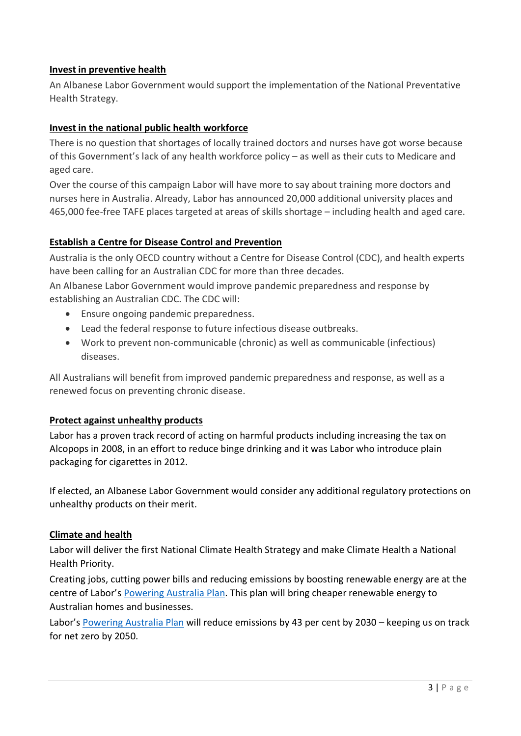## **Invest in preventive health**

An Albanese Labor Government would support the implementation of the National Preventative Health Strategy.

# **Invest in the national public health workforce**

There is no question that shortages of locally trained doctors and nurses have got worse because of this Government's lack of any health workforce policy – as well as their cuts to Medicare and aged care.

Over the course of this campaign Labor will have more to say about training more doctors and nurses here in Australia. Already, Labor has announced 20,000 additional university places and 465,000 fee-free TAFE places targeted at areas of skills shortage – including health and aged care.

# **Establish a Centre for Disease Control and Prevention**

Australia is the only OECD country without a Centre for Disease Control (CDC), and health experts have been calling for an Australian CDC for more than three decades.

An Albanese Labor Government would improve pandemic preparedness and response by establishing an Australian CDC. The CDC will:

- Ensure ongoing pandemic preparedness.
- Lead the federal response to future infectious disease outbreaks.
- Work to prevent non-communicable (chronic) as well as communicable (infectious) diseases.

All Australians will benefit from improved pandemic preparedness and response, as well as a renewed focus on preventing chronic disease.

## **Protect against unhealthy products**

Labor has a proven track record of acting on harmful products including increasing the tax on Alcopops in 2008, in an effort to reduce binge drinking and it was Labor who introduce plain packaging for cigarettes in 2012.

If elected, an Albanese Labor Government would consider any additional regulatory protections on unhealthy products on their merit.

## **Climate and health**

Labor will deliver the first National Climate Health Strategy and make Climate Health a National Health Priority.

Creating jobs, cutting power bills and reducing emissions by boosting renewable energy are at the centre of Labor's [Powering Australia Plan.](https://www.alp.org.au/policies/powering-australia) This plan will bring cheaper renewable energy to Australian homes and businesses.

Labor's [Powering Australia Plan](https://www.alp.org.au/policies/powering-australia) will reduce emissions by 43 per cent by 2030 – keeping us on track for net zero by 2050.